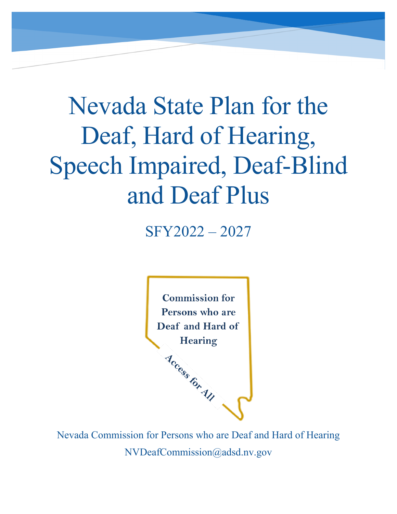# Nevada State Plan for the Deaf, Hard of Hearing, Speech Impaired, Deaf-Blind and Deaf Plus

SFY2022 – 2027



Nevada Commission for Persons who are Deaf and Hard of Hearing NVDeafCommission@adsd.nv.gov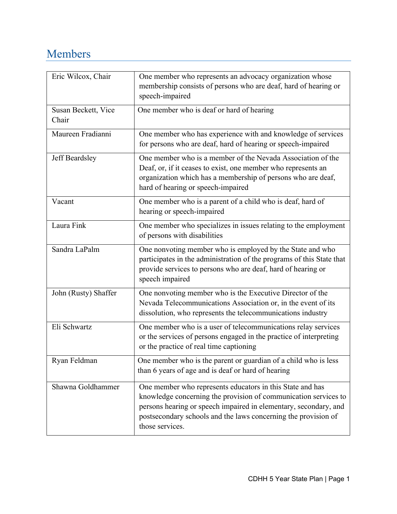# <span id="page-1-0"></span>Members

| Eric Wilcox, Chair           | One member who represents an advocacy organization whose<br>membership consists of persons who are deaf, hard of hearing or<br>speech-impaired                                                                                                                                        |
|------------------------------|---------------------------------------------------------------------------------------------------------------------------------------------------------------------------------------------------------------------------------------------------------------------------------------|
| Susan Beckett, Vice<br>Chair | One member who is deaf or hard of hearing                                                                                                                                                                                                                                             |
| Maureen Fradianni            | One member who has experience with and knowledge of services<br>for persons who are deaf, hard of hearing or speech-impaired                                                                                                                                                          |
| Jeff Beardsley               | One member who is a member of the Nevada Association of the<br>Deaf, or, if it ceases to exist, one member who represents an<br>organization which has a membership of persons who are deaf,<br>hard of hearing or speech-impaired                                                    |
| Vacant                       | One member who is a parent of a child who is deaf, hard of<br>hearing or speech-impaired                                                                                                                                                                                              |
| Laura Fink                   | One member who specializes in issues relating to the employment<br>of persons with disabilities                                                                                                                                                                                       |
| Sandra LaPalm                | One nonvoting member who is employed by the State and who<br>participates in the administration of the programs of this State that<br>provide services to persons who are deaf, hard of hearing or<br>speech impaired                                                                 |
| John (Rusty) Shaffer         | One nonvoting member who is the Executive Director of the<br>Nevada Telecommunications Association or, in the event of its<br>dissolution, who represents the telecommunications industry                                                                                             |
| Eli Schwartz                 | One member who is a user of telecommunications relay services<br>or the services of persons engaged in the practice of interpreting<br>or the practice of real time captioning                                                                                                        |
| Ryan Feldman                 | One member who is the parent or guardian of a child who is less<br>than 6 years of age and is deaf or hard of hearing                                                                                                                                                                 |
| Shawna Goldhammer            | One member who represents educators in this State and has<br>knowledge concerning the provision of communication services to<br>persons hearing or speech impaired in elementary, secondary, and<br>postsecondary schools and the laws concerning the provision of<br>those services. |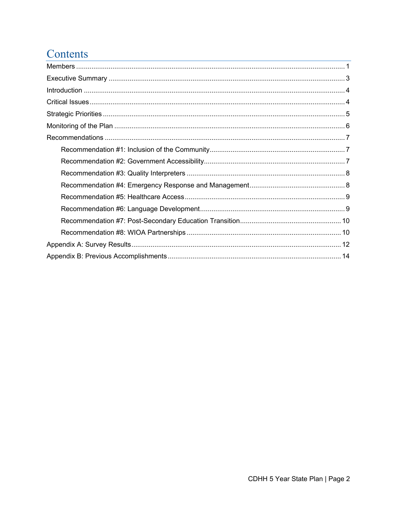# Contents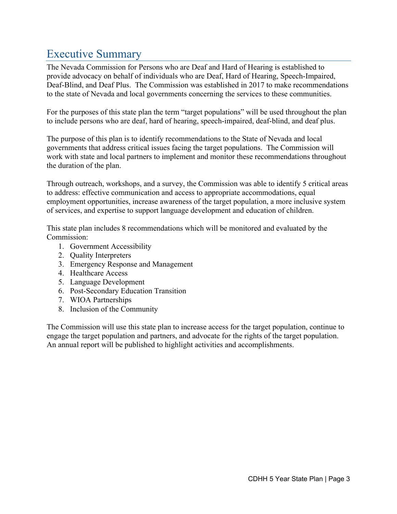# <span id="page-3-0"></span>Executive Summary

The Nevada Commission for Persons who are Deaf and Hard of Hearing is established to provide advocacy on behalf of individuals who are Deaf, Hard of Hearing, Speech-Impaired, Deaf-Blind, and Deaf Plus. The Commission was established in 2017 to make recommendations to the state of Nevada and local governments concerning the services to these communities.

For the purposes of this state plan the term "target populations" will be used throughout the plan to include persons who are deaf, hard of hearing, speech-impaired, deaf-blind, and deaf plus.

The purpose of this plan is to identify recommendations to the State of Nevada and local governments that address critical issues facing the target populations. The Commission will work with state and local partners to implement and monitor these recommendations throughout the duration of the plan.

Through outreach, workshops, and a survey, the Commission was able to identify 5 critical areas to address: effective communication and access to appropriate accommodations, equal employment opportunities, increase awareness of the target population, a more inclusive system of services, and expertise to support language development and education of children.

This state plan includes 8 recommendations which will be monitored and evaluated by the Commission:

- 1. Government Accessibility
- 2. Quality Interpreters
- 3. Emergency Response and Management
- 4. Healthcare Access
- 5. Language Development
- 6. Post-Secondary Education Transition
- 7. WIOA Partnerships
- 8. Inclusion of the Community

The Commission will use this state plan to increase access for the target population, continue to engage the target population and partners, and advocate for the rights of the target population. An annual report will be published to highlight activities and accomplishments.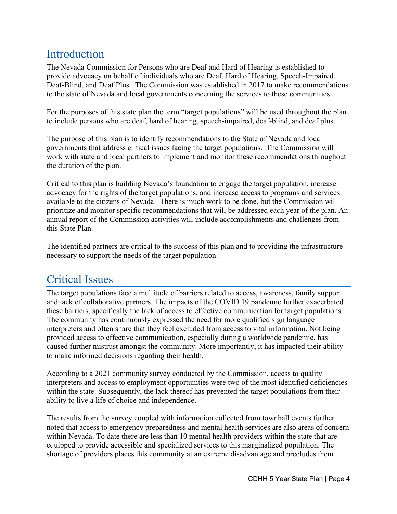## <span id="page-4-0"></span>Introduction

The Nevada Commission for Persons who are Deaf and Hard of Hearing is established to provide advocacy on behalf of individuals who are Deaf, Hard of Hearing, Speech-Impaired, Deaf-Blind, and Deaf Plus. The Commission was established in 2017 to make recommendations to the state of Nevada and local governments concerning the services to these communities.

For the purposes of this state plan the term "target populations" will be used throughout the plan to include persons who are deaf, hard of hearing, speech-impaired, deaf-blind, and deaf plus.

The purpose of this plan is to identify recommendations to the State of Nevada and local governments that address critical issues facing the target populations. The Commission will work with state and local partners to implement and monitor these recommendations throughout the duration of the plan.

Critical to this plan is building Nevada's foundation to engage the target population, increase advocacy for the rights of the target populations, and increase access to programs and services available to the citizens of Nevada. There is much work to be done, but the Commission will prioritize and monitor specific recommendations that will be addressed each year of the plan. An annual report of the Commission activities will include accomplishments and challenges from this State Plan.

The identified partners are critical to the success of this plan and to providing the infrastructure necessary to support the needs of the target population.

# <span id="page-4-1"></span>Critical Issues

The target populations face a multitude of barriers related to access, awareness, family support and lack of collaborative partners. The impacts of the COVID 19 pandemic further exacerbated these barriers, specifically the lack of access to effective communication for target populations. The community has continuously expressed the need for more qualified sign language interpreters and often share that they feel excluded from access to vital information. Not being provided access to effective communication, especially during a worldwide pandemic, has caused further mistrust amongst the community. More importantly, it has impacted their ability to make informed decisions regarding their health.

According to a 2021 community survey conducted by the Commission, access to quality interpreters and access to employment opportunities were two of the most identified deficiencies within the state. Subsequently, the lack thereof has prevented the target populations from their ability to live a life of choice and independence.

The results from the survey coupled with information collected from townhall events further noted that access to emergency preparedness and mental health services are also areas of concern within Nevada. To date there are less than 10 mental health providers within the state that are equipped to provide accessible and specialized services to this marginalized population. The shortage of providers places this community at an extreme disadvantage and precludes them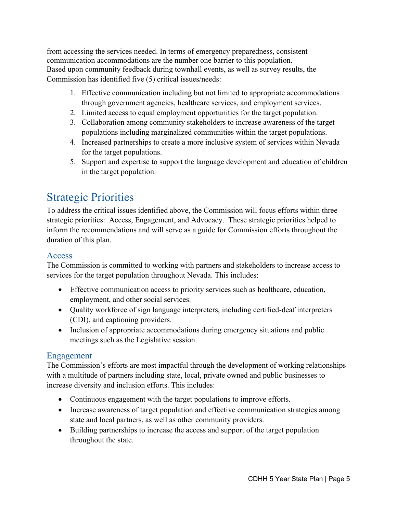from accessing the services needed. In terms of emergency preparedness, consistent communication accommodations are the number one barrier to this population. Based upon community feedback during townhall events, as well as survey results, the Commission has identified five (5) critical issues/needs:

- 1. Effective communication including but not limited to appropriate accommodations through government agencies, healthcare services, and employment services.
- 2. Limited access to equal employment opportunities for the target population.
- 3. Collaboration among community stakeholders to increase awareness of the target populations including marginalized communities within the target populations.
- 4. Increased partnerships to create a more inclusive system of services within Nevada for the target populations.
- 5. Support and expertise to support the language development and education of children in the target population.

## <span id="page-5-0"></span>Strategic Priorities

To address the critical issues identified above, the Commission will focus efforts within three strategic priorities: Access, Engagement, and Advocacy. These strategic priorities helped to inform the recommendations and will serve as a guide for Commission efforts throughout the duration of this plan.

## Access

The Commission is committed to working with partners and stakeholders to increase access to services for the target population throughout Nevada. This includes:

- Effective communication access to priority services such as healthcare, education, employment, and other social services.
- Quality workforce of sign language interpreters, including certified-deaf interpreters (CDI), and captioning providers.
- Inclusion of appropriate accommodations during emergency situations and public meetings such as the Legislative session.

## Engagement

The Commission's efforts are most impactful through the development of working relationships with a multitude of partners including state, local, private owned and public businesses to increase diversity and inclusion efforts. This includes:

- Continuous engagement with the target populations to improve efforts.
- Increase awareness of target population and effective communication strategies among state and local partners, as well as other community providers.
- Building partnerships to increase the access and support of the target population throughout the state.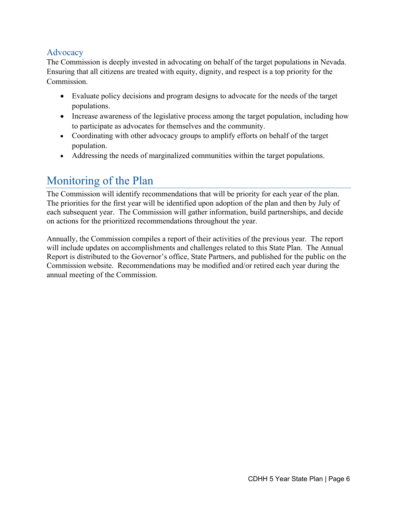## Advocacy

The Commission is deeply invested in advocating on behalf of the target populations in Nevada. Ensuring that all citizens are treated with equity, dignity, and respect is a top priority for the Commission.

- Evaluate policy decisions and program designs to advocate for the needs of the target populations.
- Increase awareness of the legislative process among the target population, including how to participate as advocates for themselves and the community.
- Coordinating with other advocacy groups to amplify efforts on behalf of the target population.
- Addressing the needs of marginalized communities within the target populations.

# <span id="page-6-0"></span>Monitoring of the Plan

The Commission will identify recommendations that will be priority for each year of the plan. The priorities for the first year will be identified upon adoption of the plan and then by July of each subsequent year. The Commission will gather information, build partnerships, and decide on actions for the prioritized recommendations throughout the year.

Annually, the Commission compiles a report of their activities of the previous year. The report will include updates on accomplishments and challenges related to this State Plan. The Annual Report is distributed to the Governor's office, State Partners, and published for the public on the Commission website. Recommendations may be modified and/or retired each year during the annual meeting of the Commission.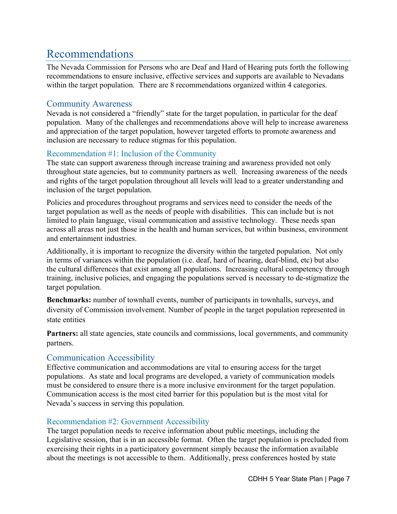# <span id="page-7-0"></span>Recommendations

The Nevada Commission for Persons who are Deaf and Hard of Hearing puts forth the following recommendations to ensure inclusive, effective services and supports are available to Nevadans within the target population. There are 8 recommendations organized within 4 categories.

## Community Awareness

Nevada is not considered a "friendly" state for the target population, in particular for the deaf population. Many of the challenges and recommendations above will help to increase awareness and appreciation of the target population, however targeted efforts to promote awareness and inclusion are necessary to reduce stigmas for this population.

## <span id="page-7-1"></span>Recommendation #1: Inclusion of the Community

The state can support awareness through increase training and awareness provided not only throughout state agencies, but to community partners as well. Increasing awareness of the needs and rights of the target population throughout all levels will lead to a greater understanding and inclusion of the target population.

Policies and procedures throughout programs and services need to consider the needs of the target population as well as the needs of people with disabilities. This can include but is not limited to plain language, visual communication and assistive technology. These needs span across all areas not just those in the health and human services, but within business, environment and entertainment industries.

Additionally, it is important to recognize the diversity within the targeted population. Not only in terms of variances within the population (i.e. deaf, hard of hearing, deaf-blind, etc) but also the cultural differences that exist among all populations. Increasing cultural competency through training, inclusive policies, and engaging the populations served is necessary to de-stigmatize the target population.

**Benchmarks:** number of townhall events, number of participants in townhalls, surveys, and diversity of Commission involvement. Number of people in the target population represented in state entities

**Partners:** all state agencies, state councils and commissions, local governments, and community partners.

## Communication Accessibility

Effective communication and accommodations are vital to ensuring access for the target populations. As state and local programs are developed, a variety of communication models must be considered to ensure there is a more inclusive environment for the target population. Communication access is the most cited barrier for this population but is the most vital for Nevada's success in serving this population.

### <span id="page-7-2"></span>Recommendation #2: Government Accessibility

The target population needs to receive information about public meetings, including the Legislative session, that is in an accessible format. Often the target population is precluded from exercising their rights in a participatory government simply because the information available about the meetings is not accessible to them. Additionally, press conferences hosted by state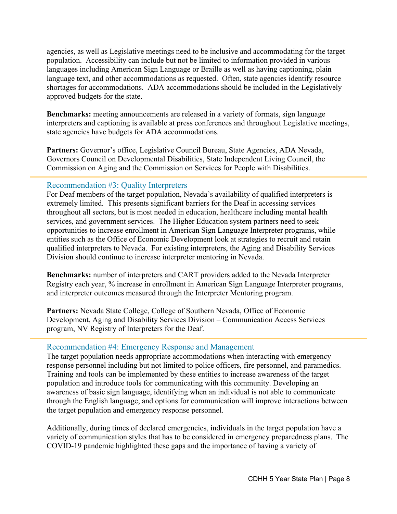agencies, as well as Legislative meetings need to be inclusive and accommodating for the target population. Accessibility can include but not be limited to information provided in various languages including American Sign Language or Braille as well as having captioning, plain language text, and other accommodations as requested. Often, state agencies identify resource shortages for accommodations. ADA accommodations should be included in the Legislatively approved budgets for the state.

**Benchmarks:** meeting announcements are released in a variety of formats, sign language interpreters and captioning is available at press conferences and throughout Legislative meetings, state agencies have budgets for ADA accommodations.

Partners: Governor's office, Legislative Council Bureau, State Agencies, ADA Nevada, Governors Council on Developmental Disabilities, State Independent Living Council, the Commission on Aging and the Commission on Services for People with Disabilities.

#### <span id="page-8-0"></span>Recommendation #3: Quality Interpreters

For Deaf members of the target population, Nevada's availability of qualified interpreters is extremely limited. This presents significant barriers for the Deaf in accessing services throughout all sectors, but is most needed in education, healthcare including mental health services, and government services. The Higher Education system partners need to seek opportunities to increase enrollment in American Sign Language Interpreter programs, while entities such as the Office of Economic Development look at strategies to recruit and retain qualified interpreters to Nevada. For existing interpreters, the Aging and Disability Services Division should continue to increase interpreter mentoring in Nevada.

**Benchmarks:** number of interpreters and CART providers added to the Nevada Interpreter Registry each year, % increase in enrollment in American Sign Language Interpreter programs, and interpreter outcomes measured through the Interpreter Mentoring program.

**Partners:** Nevada State College, College of Southern Nevada, Office of Economic Development, Aging and Disability Services Division – Communication Access Services program, NV Registry of Interpreters for the Deaf.

#### <span id="page-8-1"></span>Recommendation #4: Emergency Response and Management

The target population needs appropriate accommodations when interacting with emergency response personnel including but not limited to police officers, fire personnel, and paramedics. Training and tools can be implemented by these entities to increase awareness of the target population and introduce tools for communicating with this community. Developing an awareness of basic sign language, identifying when an individual is not able to communicate through the English language, and options for communication will improve interactions between the target population and emergency response personnel.

Additionally, during times of declared emergencies, individuals in the target population have a variety of communication styles that has to be considered in emergency preparedness plans. The COVID-19 pandemic highlighted these gaps and the importance of having a variety of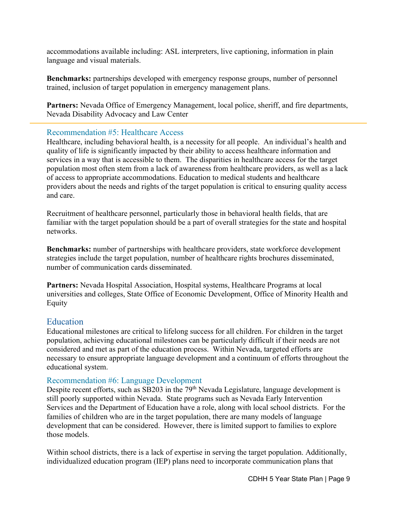accommodations available including: ASL interpreters, live captioning, information in plain language and visual materials.

**Benchmarks:** partnerships developed with emergency response groups, number of personnel trained, inclusion of target population in emergency management plans.

**Partners:** Nevada Office of Emergency Management, local police, sheriff, and fire departments, Nevada Disability Advocacy and Law Center

#### <span id="page-9-0"></span>Recommendation #5: Healthcare Access

Healthcare, including behavioral health, is a necessity for all people. An individual's health and quality of life is significantly impacted by their ability to access healthcare information and services in a way that is accessible to them. The disparities in healthcare access for the target population most often stem from a lack of awareness from healthcare providers, as well as a lack of access to appropriate accommodations. Education to medical students and healthcare providers about the needs and rights of the target population is critical to ensuring quality access and care.

Recruitment of healthcare personnel, particularly those in behavioral health fields, that are familiar with the target population should be a part of overall strategies for the state and hospital networks.

**Benchmarks:** number of partnerships with healthcare providers, state workforce development strategies include the target population, number of healthcare rights brochures disseminated, number of communication cards disseminated.

**Partners:** Nevada Hospital Association, Hospital systems, Healthcare Programs at local universities and colleges, State Office of Economic Development, Office of Minority Health and Equity

### **Education**

Educational milestones are critical to lifelong success for all children. For children in the target population, achieving educational milestones can be particularly difficult if their needs are not considered and met as part of the education process. Within Nevada, targeted efforts are necessary to ensure appropriate language development and a continuum of efforts throughout the educational system.

#### <span id="page-9-1"></span>Recommendation #6: Language Development

Despite recent efforts, such as SB203 in the  $79<sup>th</sup>$  Nevada Legislature, language development is still poorly supported within Nevada. State programs such as Nevada Early Intervention Services and the Department of Education have a role, along with local school districts. For the families of children who are in the target population, there are many models of language development that can be considered. However, there is limited support to families to explore those models.

Within school districts, there is a lack of expertise in serving the target population. Additionally, individualized education program (IEP) plans need to incorporate communication plans that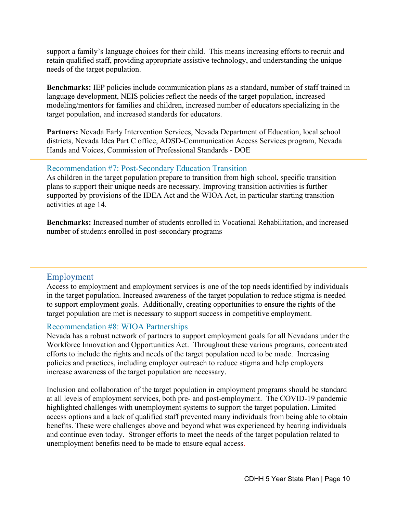support a family's language choices for their child. This means increasing efforts to recruit and retain qualified staff, providing appropriate assistive technology, and understanding the unique needs of the target population.

**Benchmarks:** IEP policies include communication plans as a standard, number of staff trained in language development, NEIS policies reflect the needs of the target population, increased modeling/mentors for families and children, increased number of educators specializing in the target population, and increased standards for educators.

**Partners:** Nevada Early Intervention Services, Nevada Department of Education, local school districts, Nevada Idea Part C office, ADSD-Communication Access Services program, Nevada Hands and Voices, Commission of Professional Standards - DOE

#### <span id="page-10-0"></span>Recommendation #7: Post-Secondary Education Transition

As children in the target population prepare to transition from high school, specific transition plans to support their unique needs are necessary. Improving transition activities is further supported by provisions of the IDEA Act and the WIOA Act, in particular starting transition activities at age 14.

**Benchmarks:** Increased number of students enrolled in Vocational Rehabilitation, and increased number of students enrolled in post-secondary programs

#### Employment

Access to employment and employment services is one of the top needs identified by individuals in the target population. Increased awareness of the target population to reduce stigma is needed to support employment goals. Additionally, creating opportunities to ensure the rights of the target population are met is necessary to support success in competitive employment.

#### <span id="page-10-1"></span>Recommendation #8: WIOA Partnerships

Nevada has a robust network of partners to support employment goals for all Nevadans under the Workforce Innovation and Opportunities Act. Throughout these various programs, concentrated efforts to include the rights and needs of the target population need to be made. Increasing policies and practices, including employer outreach to reduce stigma and help employers increase awareness of the target population are necessary.

Inclusion and collaboration of the target population in employment programs should be standard at all levels of employment services, both pre- and post-employment. The COVID-19 pandemic highlighted challenges with unemployment systems to support the target population. Limited access options and a lack of qualified staff prevented many individuals from being able to obtain benefits. These were challenges above and beyond what was experienced by hearing individuals and continue even today. Stronger efforts to meet the needs of the target population related to unemployment benefits need to be made to ensure equal access.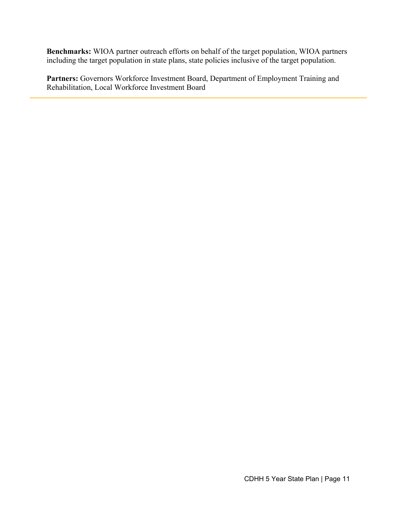**Benchmarks:** WIOA partner outreach efforts on behalf of the target population, WIOA partners including the target population in state plans, state policies inclusive of the target population.

**Partners:** Governors Workforce Investment Board, Department of Employment Training and Rehabilitation, Local Workforce Investment Board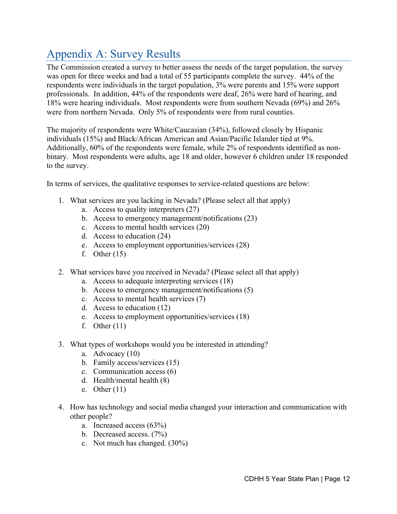# <span id="page-12-0"></span>Appendix A: Survey Results

The Commission created a survey to better assess the needs of the target population, the survey was open for three weeks and had a total of 55 participants complete the survey. 44% of the respondents were individuals in the target population, 3% were parents and 15% were support professionals. In addition, 44% of the respondents were deaf, 26% were hard of hearing, and 18% were hearing individuals. Most respondents were from southern Nevada (69%) and 26% were from northern Nevada. Only 5% of respondents were from rural counties.

The majority of respondents were White/Caucasian (34%), followed closely by Hispanic individuals (15%) and Black/African American and Asian/Pacific Islander tied at 9%. Additionally, 60% of the respondents were female, while 2% of respondents identified as nonbinary. Most respondents were adults, age 18 and older, however 6 children under 18 responded to the survey.

In terms of services, the qualitative responses to service-related questions are below:

- 1. What services are you lacking in Nevada? (Please select all that apply)
	- a. Access to quality interpreters (27)
	- b. Access to emergency management/notifications (23)
	- c. Access to mental health services (20)
	- d. Access to education (24)
	- e. Access to employment opportunities/services (28)
	- f. Other  $(15)$
- 2. What services have you received in Nevada? (Please select all that apply)
	- a. Access to adequate interpreting services (18)
	- b. Access to emergency management/notifications (5)
	- c. Access to mental health services (7)
	- d. Access to education (12)
	- e. Access to employment opportunities/services (18)
	- f. Other  $(11)$
- 3. What types of workshops would you be interested in attending?
	- a. Advocacy (10)
	- b. Family access/services (15)
	- c. Communication access (6)
	- d. Health/mental health (8)
	- e. Other (11)
- 4. How has technology and social media changed your interaction and communication with other people?
	- a. Increased access (63%)
	- b. Decreased access. (7%)
	- c. Not much has changed. (30%)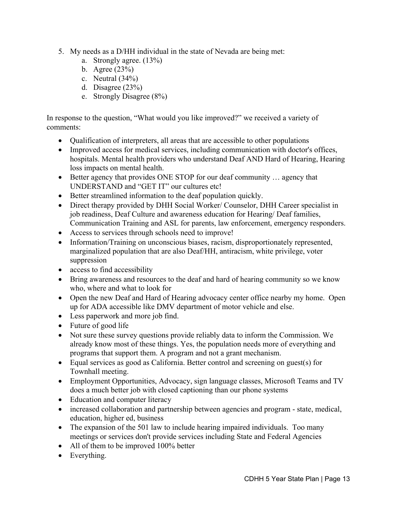- 5. My needs as a D/HH individual in the state of Nevada are being met:
	- a. Strongly agree. (13%)
	- b. Agree (23%)
	- c. Neutral (34%)
	- d. Disagree (23%)
	- e. Strongly Disagree (8%)

In response to the question, "What would you like improved?" we received a variety of comments:

- Qualification of interpreters, all areas that are accessible to other populations
- Improved access for medical services, including communication with doctor's offices, hospitals. Mental health providers who understand Deaf AND Hard of Hearing, Hearing loss impacts on mental health.
- Better agency that provides ONE STOP for our deaf community ... agency that UNDERSTAND and "GET IT" our cultures etc!
- Better streamlined information to the deaf population quickly.
- Direct therapy provided by DHH Social Worker/ Counselor, DHH Career specialist in job readiness, Deaf Culture and awareness education for Hearing/ Deaf families, Communication Training and ASL for parents, law enforcement, emergency responders.
- Access to services through schools need to improve!
- Information/Training on unconscious biases, racism, disproportionately represented, marginalized population that are also Deaf/HH, antiracism, white privilege, voter suppression
- access to find accessibility
- Bring awareness and resources to the deaf and hard of hearing community so we know who, where and what to look for
- Open the new Deaf and Hard of Hearing advocacy center office nearby my home. Open up for ADA accessible like DMV department of motor vehicle and else.
- Less paperwork and more job find.
- Future of good life
- Not sure these survey questions provide reliably data to inform the Commission. We already know most of these things. Yes, the population needs more of everything and programs that support them. A program and not a grant mechanism.
- Equal services as good as California. Better control and screening on guest(s) for Townhall meeting.
- Employment Opportunities, Advocacy, sign language classes, Microsoft Teams and TV does a much better job with closed captioning than our phone systems
- Education and computer literacy
- increased collaboration and partnership between agencies and program state, medical, education, higher ed, business
- The expansion of the 501 law to include hearing impaired individuals. Too many meetings or services don't provide services including State and Federal Agencies
- All of them to be improved 100% better
- Everything.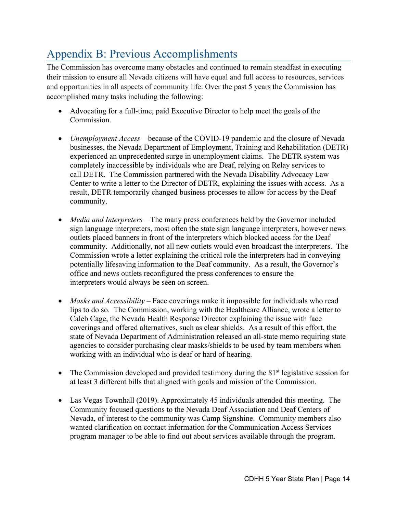# <span id="page-14-0"></span>Appendix B: Previous Accomplishments

The Commission has overcome many obstacles and continued to remain steadfast in executing their mission to ensure all Nevada citizens will have equal and full access to resources, services and opportunities in all aspects of community life. Over the past 5 years the Commission has accomplished many tasks including the following:

- Advocating for a full-time, paid Executive Director to help meet the goals of the Commission.
- *Unemployment Access* because of the COVID-19 pandemic and the closure of Nevada businesses, the Nevada Department of Employment, Training and Rehabilitation (DETR) experienced an unprecedented surge in unemployment claims. The DETR system was completely inaccessible by individuals who are Deaf, relying on Relay services to call DETR. The Commission partnered with the Nevada Disability Advocacy Law Center to write a letter to the Director of DETR, explaining the issues with access. As a result, DETR temporarily changed business processes to allow for access by the Deaf community.
- *Media and Interpreters* The many press conferences held by the Governor included sign language interpreters, most often the state sign language interpreters, however news outlets placed banners in front of the interpreters which blocked access for the Deaf community. Additionally, not all new outlets would even broadcast the interpreters. The Commission wrote a letter explaining the critical role the interpreters had in conveying potentially lifesaving information to the Deaf community. As a result, the Governor's office and news outlets reconfigured the press conferences to ensure the interpreters would always be seen on screen.
- *Masks and Accessibility* Face coverings make it impossible for individuals who read lips to do so. The Commission, working with the Healthcare Alliance, wrote a letter to Caleb Cage, the Nevada Health Response Director explaining the issue with face coverings and offered alternatives, such as clear shields. As a result of this effort, the state of Nevada Department of Administration released an all-state memo requiring state agencies to consider purchasing clear masks/shields to be used by team members when working with an individual who is deaf or hard of hearing.
- The Commission developed and provided testimony during the  $81<sup>st</sup>$  legislative session for at least 3 different bills that aligned with goals and mission of the Commission.
- Las Vegas Townhall (2019). Approximately 45 individuals attended this meeting. The Community focused questions to the Nevada Deaf Association and Deaf Centers of Nevada, of interest to the community was Camp Signshine. Community members also wanted clarification on contact information for the Communication Access Services program manager to be able to find out about services available through the program.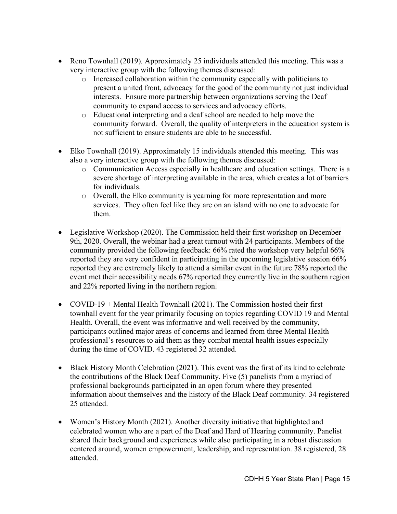- Reno Townhall (2019)*.* Approximately 25 individuals attended this meeting. This was a very interactive group with the following themes discussed:
	- o Increased collaboration within the community especially with politicians to present a united front, advocacy for the good of the community not just individual interests. Ensure more partnership between organizations serving the Deaf community to expand access to services and advocacy efforts.
	- o Educational interpreting and a deaf school are needed to help move the community forward. Overall, the quality of interpreters in the education system is not sufficient to ensure students are able to be successful.
- Elko Townhall (2019). Approximately 15 individuals attended this meeting. This was also a very interactive group with the following themes discussed:
	- o Communication Access especially in healthcare and education settings. There is a severe shortage of interpreting available in the area, which creates a lot of barriers for individuals.
	- o Overall, the Elko community is yearning for more representation and more services. They often feel like they are on an island with no one to advocate for them.
- Legislative Workshop (2020). The Commission held their first workshop on December 9th, 2020. Overall, the webinar had a great turnout with 24 participants. Members of the community provided the following feedback: 66% rated the workshop very helpful 66% reported they are very confident in participating in the upcoming legislative session 66% reported they are extremely likely to attend a similar event in the future 78% reported the event met their accessibility needs 67% reported they currently live in the southern region and 22% reported living in the northern region.
- COVID-19 + Mental Health Townhall (2021). The Commission hosted their first townhall event for the year primarily focusing on topics regarding COVID 19 and Mental Health. Overall, the event was informative and well received by the community, participants outlined major areas of concerns and learned from three Mental Health professional's resources to aid them as they combat mental health issues especially during the time of COVID. 43 registered 32 attended.
- Black History Month Celebration (2021). This event was the first of its kind to celebrate the contributions of the Black Deaf Community. Five (5) panelists from a myriad of professional backgrounds participated in an open forum where they presented information about themselves and the history of the Black Deaf community. 34 registered 25 attended.
- Women's History Month (2021). Another diversity initiative that highlighted and celebrated women who are a part of the Deaf and Hard of Hearing community. Panelist shared their background and experiences while also participating in a robust discussion centered around, women empowerment, leadership, and representation. 38 registered, 28 attended.